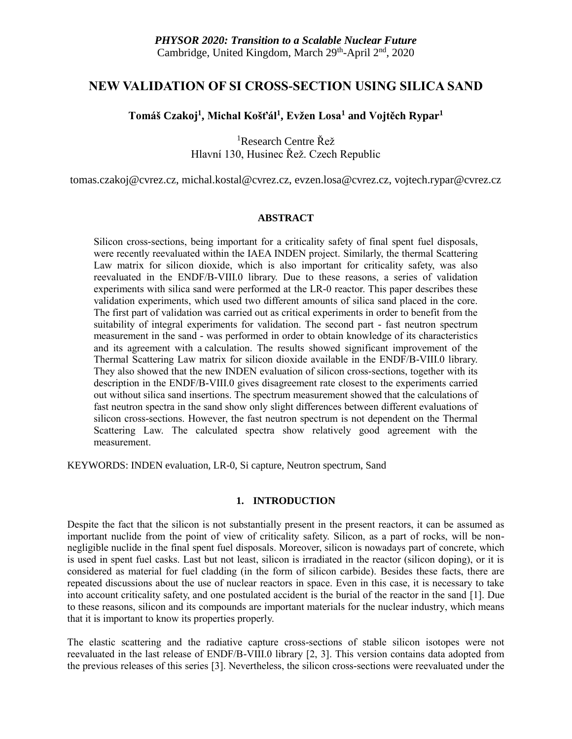# **NEW VALIDATION OF SI CROSS-SECTION USING SILICA SAND**

## **Tomáš Czakoj<sup>1</sup> , Michal Košťál<sup>1</sup> , Evžen Losa<sup>1</sup> and Vojtěch Rypar<sup>1</sup>**

<sup>1</sup>Research Centre Řež Hlavní 130, Husinec Řež. Czech Republic

tomas.czakoj@cvrez.cz, michal.kostal@cvrez.cz, evzen.losa@cvrez.cz, vojtech.rypar@cvrez.cz

## **ABSTRACT**

Silicon cross-sections, being important for a criticality safety of final spent fuel disposals, were recently reevaluated within the IAEA INDEN project. Similarly, the thermal Scattering Law matrix for silicon dioxide, which is also important for criticality safety, was also reevaluated in the ENDF/B-VIII.0 library. Due to these reasons, a series of validation experiments with silica sand were performed at the LR-0 reactor. This paper describes these validation experiments, which used two different amounts of silica sand placed in the core. The first part of validation was carried out as critical experiments in order to benefit from the suitability of integral experiments for validation. The second part - fast neutron spectrum measurement in the sand - was performed in order to obtain knowledge of its characteristics and its agreement with a calculation. The results showed significant improvement of the Thermal Scattering Law matrix for silicon dioxide available in the ENDF/B-VIII.0 library. They also showed that the new INDEN evaluation of silicon cross-sections, together with its description in the ENDF/B-VIII.0 gives disagreement rate closest to the experiments carried out without silica sand insertions. The spectrum measurement showed that the calculations of fast neutron spectra in the sand show only slight differences between different evaluations of silicon cross-sections. However, the fast neutron spectrum is not dependent on the Thermal Scattering Law. The calculated spectra show relatively good agreement with the measurement.

KEYWORDS: INDEN evaluation, LR-0, Si capture, Neutron spectrum, Sand

## **1. INTRODUCTION**

Despite the fact that the silicon is not substantially present in the present reactors, it can be assumed as important nuclide from the point of view of criticality safety. Silicon, as a part of rocks, will be nonnegligible nuclide in the final spent fuel disposals. Moreover, silicon is nowadays part of concrete, which is used in spent fuel casks. Last but not least, silicon is irradiated in the reactor (silicon doping), or it is considered as material for fuel cladding (in the form of silicon carbide). Besides these facts, there are repeated discussions about the use of nuclear reactors in space. Even in this case, it is necessary to take into account criticality safety, and one postulated accident is the burial of the reactor in the sand [1]. Due to these reasons, silicon and its compounds are important materials for the nuclear industry, which means that it is important to know its properties properly.

The elastic scattering and the radiative capture cross-sections of stable silicon isotopes were not reevaluated in the last release of ENDF/B-VIII.0 library [2, 3]. This version contains data adopted from the previous releases of this series [3]. Nevertheless, the silicon cross-sections were reevaluated under the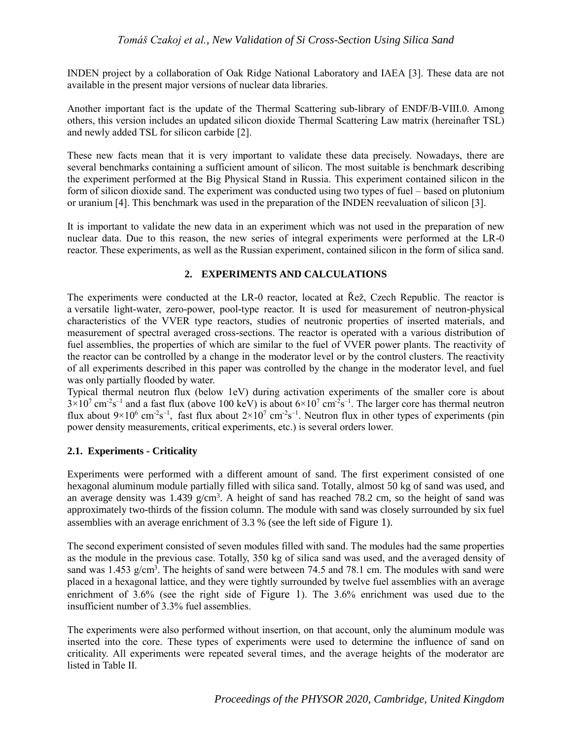INDEN project by a collaboration of Oak Ridge National Laboratory and IAEA [3]. These data are not available in the present major versions of nuclear data libraries.

Another important fact is the update of the Thermal Scattering sub-library of ENDF/B-VIII.0. Among others, this version includes an updated silicon dioxide Thermal Scattering Law matrix (hereinafter TSL) and newly added TSL for silicon carbide [2].

These new facts mean that it is very important to validate these data precisely. Nowadays, there are several benchmarks containing a sufficient amount of silicon. The most suitable is benchmark describing the experiment performed at the Big Physical Stand in Russia. This experiment contained silicon in the form of silicon dioxide sand. The experiment was conducted using two types of fuel – based on plutonium or uranium [4]. This benchmark was used in the preparation of the INDEN reevaluation of silicon [3].

It is important to validate the new data in an experiment which was not used in the preparation of new nuclear data. Due to this reason, the new series of integral experiments were performed at the LR-0 reactor. These experiments, as well as the Russian experiment, contained silicon in the form of silica sand.

## **2. EXPERIMENTS AND CALCULATIONS**

The experiments were conducted at the LR-0 reactor, located at Řež, Czech Republic. The reactor is a versatile light-water, zero-power, pool-type reactor. It is used for measurement of neutron-physical characteristics of the VVER type reactors, studies of neutronic properties of inserted materials, and measurement of spectral averaged cross-sections. The reactor is operated with a various distribution of fuel assemblies, the properties of which are similar to the fuel of VVER power plants. The reactivity of the reactor can be controlled by a change in the moderator level or by the control clusters. The reactivity of all experiments described in this paper was controlled by the change in the moderator level, and fuel was only partially flooded by water.

Typical thermal neutron flux (below 1eV) during activation experiments of the smaller core is about  $3\times10^7$  cm<sup>-2</sup>s<sup>-1</sup> and a fast flux (above 100 keV) is about  $6\times10^7$  cm<sup>-2</sup>s<sup>-1</sup>. The larger core has thermal neutron flux about  $9\times10^6$  cm<sup>-2</sup>s<sup>-1</sup>, fast flux about  $2\times10^7$  cm<sup>-2</sup>s<sup>-1</sup>. Neutron flux in other types of experiments (pin power density measurements, critical experiments, etc.) is several orders lower.

## **2.1. Experiments - Criticality**

Experiments were performed with a different amount of sand. The first experiment consisted of one hexagonal aluminum module partially filled with silica sand. Totally, almost 50 kg of sand was used, and an average density was  $1.439$  g/cm<sup>3</sup>. A height of sand has reached 78.2 cm, so the height of sand was approximately two-thirds of the fission column. The module with sand was closely surrounded by six fuel assemblies with an average enrichment of 3.3 % (see the left side of [Figure 1](#page-2-0)).

The second experiment consisted of seven modules filled with sand. The modules had the same properties as the module in the previous case. Totally, 350 kg of silica sand was used, and the averaged density of sand was  $1.453$  g/cm<sup>3</sup>. The heights of sand were between 74.5 and 78.1 cm. The modules with sand were placed in a hexagonal lattice, and they were tightly surrounded by twelve fuel assemblies with an average enrichment of 3.6% (see the right side of [Figure 1](#page-2-0)). The 3.6% enrichment was used due to the insufficient number of 3.3% fuel assemblies.

The experiments were also performed without insertion, on that account, only the aluminum module was inserted into the core. These types of experiments were used to determine the influence of sand on criticality. All experiments were repeated several times, and the average heights of the moderator are listed in [Table II.](#page-4-0)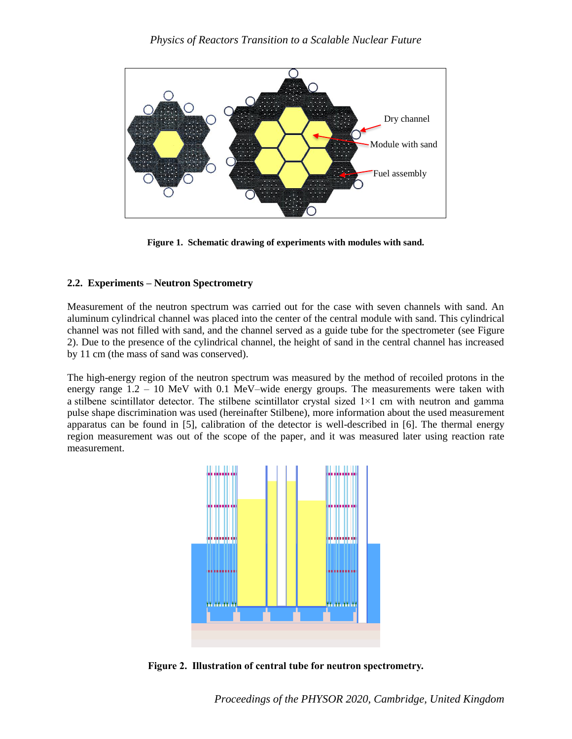

**Figure 1. Schematic drawing of experiments with modules with sand.**

## <span id="page-2-0"></span>**2.2. Experiments – Neutron Spectrometry**

Measurement of the neutron spectrum was carried out for the case with seven channels with sand. An aluminum cylindrical channel was placed into the center of the central module with sand. This cylindrical channel was not filled with sand, and the channel served as a guide tube for the spectrometer (see [Figure](#page-2-1)  [2\)](#page-2-1). Due to the presence of the cylindrical channel, the height of sand in the central channel has increased by 11 cm (the mass of sand was conserved).

The high-energy region of the neutron spectrum was measured by the method of recoiled protons in the energy range 1.2 – 10 MeV with 0.1 MeV–wide energy groups. The measurements were taken with a stilbene scintillator detector. The stilbene scintillator crystal sized  $1\times1$  cm with neutron and gamma pulse shape discrimination was used (hereinafter Stilbene), more information about the used measurement apparatus can be found in [5], calibration of the detector is well-described in [6]. The thermal energy region measurement was out of the scope of the paper, and it was measured later using reaction rate measurement.



<span id="page-2-1"></span>**Figure 2. Illustration of central tube for neutron spectrometry.**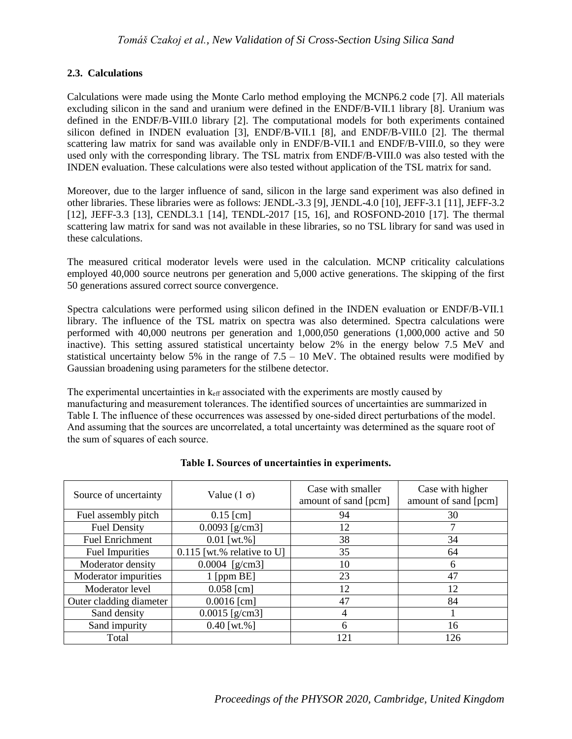## **2.3. Calculations**

Calculations were made using the Monte Carlo method employing the MCNP6.2 code [7]. All materials excluding silicon in the sand and uranium were defined in the ENDF/B-VII.1 library [8]. Uranium was defined in the ENDF/B-VIII.0 library [2]. The computational models for both experiments contained silicon defined in INDEN evaluation [3], ENDF/B-VII.1 [8], and ENDF/B-VIII.0 [2]. The thermal scattering law matrix for sand was available only in ENDF/B-VII.1 and ENDF/B-VIII.0, so they were used only with the corresponding library. The TSL matrix from ENDF/B-VIII.0 was also tested with the INDEN evaluation. These calculations were also tested without application of the TSL matrix for sand.

Moreover, due to the larger influence of sand, silicon in the large sand experiment was also defined in other libraries. These libraries were as follows: JENDL-3.3 [9], JENDL-4.0 [10], JEFF-3.1 [11], JEFF-3.2 [12], JEFF-3.3 [13], CENDL3.1 [14], TENDL-2017 [15, 16], and ROSFOND-2010 [17]. The thermal scattering law matrix for sand was not available in these libraries, so no TSL library for sand was used in these calculations.

The measured critical moderator levels were used in the calculation. MCNP criticality calculations employed 40,000 source neutrons per generation and 5,000 active generations. The skipping of the first 50 generations assured correct source convergence.

Spectra calculations were performed using silicon defined in the INDEN evaluation or ENDF/B-VII.1 library. The influence of the TSL matrix on spectra was also determined. Spectra calculations were performed with 40,000 neutrons per generation and 1,000,050 generations (1,000,000 active and 50 inactive). This setting assured statistical uncertainty below 2% in the energy below 7.5 MeV and statistical uncertainty below 5% in the range of  $7.5 - 10$  MeV. The obtained results were modified by Gaussian broadening using parameters for the stilbene detector.

The experimental uncertainties in  $k_{\text{eff}}$  associated with the experiments are mostly caused by manufacturing and measurement tolerances. The identified sources of uncertainties are summarized in [Table I.](#page-3-0) The influence of these occurrences was assessed by one-sided direct perturbations of the model. And assuming that the sources are uncorrelated, a total uncertainty was determined as the square root of the sum of squares of each source.

<span id="page-3-0"></span>

| Source of uncertainty   | Value $(1 \sigma)$           | Case with smaller<br>amount of sand [pcm] | Case with higher<br>amount of sand [pcm] |
|-------------------------|------------------------------|-------------------------------------------|------------------------------------------|
| Fuel assembly pitch     | $0.15$ [cm]                  | 94                                        | 30                                       |
| <b>Fuel Density</b>     | $0.0093$ [g/cm3]             | 12                                        |                                          |
| <b>Fuel Enrichment</b>  | $0.01$ [wt.%]                | 38                                        | 34                                       |
| <b>Fuel Impurities</b>  | $0.115$ [wt.% relative to U] | 35                                        | 64                                       |
| Moderator density       | $0.0004$ [g/cm3]             | 10                                        | 6                                        |
| Moderator impurities    | $1$ [ppm BE]                 | 23                                        | 47                                       |
| Moderator level         | $0.058$ [cm]                 | 12                                        | 12                                       |
| Outer cladding diameter | $0.0016$ [cm]                | 47                                        | 84                                       |
| Sand density            | $0.0015$ [g/cm3]             |                                           |                                          |
| Sand impurity           | $0.40$ [wt.%]                | 6                                         | 16                                       |
| Total                   |                              | 121                                       | 126                                      |

## **Table I. Sources of uncertainties in experiments.**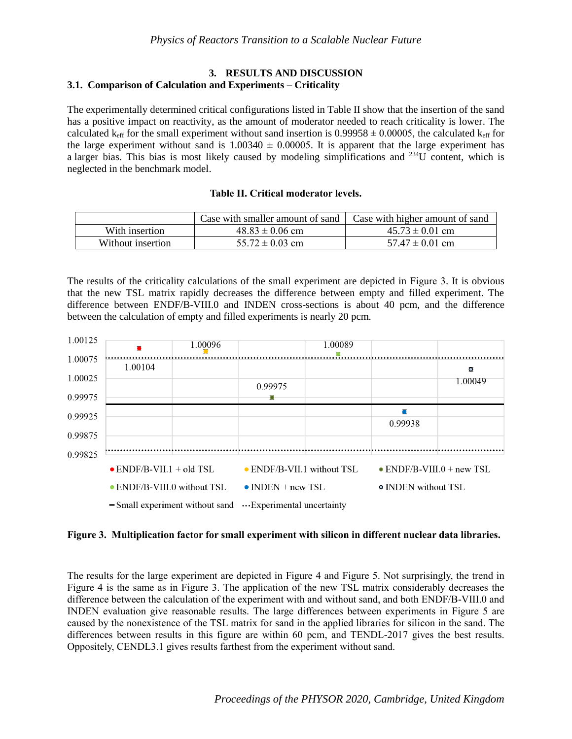## **3. RESULTS AND DISCUSSION 3.1. Comparison of Calculation and Experiments – Criticality**

The experimentally determined critical configurations listed i[n Table II](#page-4-0) show that the insertion of the sand has a positive impact on reactivity, as the amount of moderator needed to reach criticality is lower. The calculated k<sub>eff</sub> for the small experiment without sand insertion is 0.99958  $\pm$  0.00005, the calculated k<sub>eff</sub> for the large experiment without sand is  $1.00340 \pm 0.00005$ . It is apparent that the large experiment has a larger bias. This bias is most likely caused by modeling simplifications and <sup>234</sup>U content, which is neglected in the benchmark model.

## **Table II. Critical moderator levels.**

<span id="page-4-0"></span>

|                   | Case with smaller amount of sand | Case with higher amount of sand |
|-------------------|----------------------------------|---------------------------------|
| With insertion    | $48.83 \pm 0.06$ cm              | $45.73 \pm 0.01$ cm             |
| Without insertion | $55.72 \pm 0.03$ cm              | $57.47 \pm 0.01$ cm             |

The results of the criticality calculations of the small experiment are depicted in [Figure 3.](#page-4-1) It is obvious that the new TSL matrix rapidly decreases the difference between empty and filled experiment. The difference between ENDF/B-VIII.0 and INDEN cross-sections is about 40 pcm, and the difference between the calculation of empty and filled experiments is nearly 20 pcm.



## <span id="page-4-1"></span>**Figure 3. Multiplication factor for small experiment with silicon in different nuclear data libraries.**

The results for the large experiment are depicted in [Figure 4](#page-5-0) and [Figure 5.](#page-5-1) Not surprisingly, the trend in [Figure 4](#page-5-0) is the same as in [Figure 3.](#page-4-1) The application of the new TSL matrix considerably decreases the difference between the calculation of the experiment with and without sand, and both ENDF/B-VIII.0 and INDEN evaluation give reasonable results. The large differences between experiments in [Figure 5](#page-5-1) are caused by the nonexistence of the TSL matrix for sand in the applied libraries for silicon in the sand. The differences between results in this figure are within 60 pcm, and TENDL-2017 gives the best results. Oppositely, CENDL3.1 gives results farthest from the experiment without sand.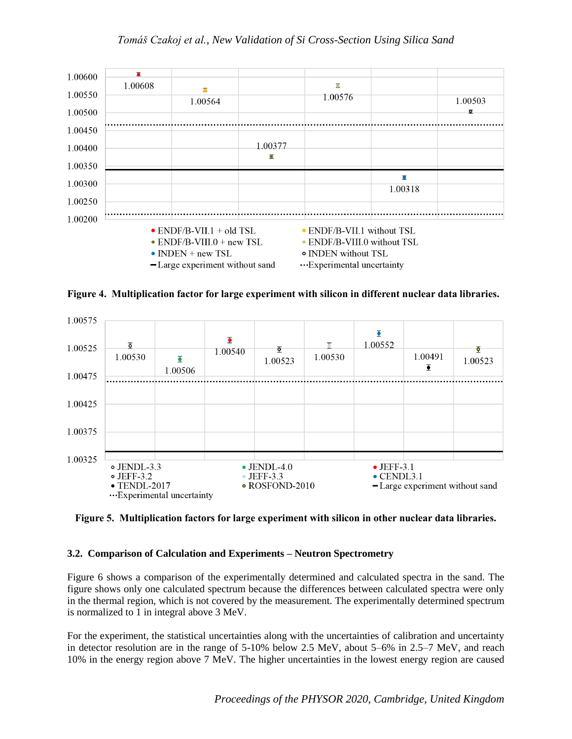## *Tomáš Czakoj et al., New Validation of Si Cross-Section Using Silica Sand*



<span id="page-5-0"></span>**Figure 4. Multiplication factor for large experiment with silicon in different nuclear data libraries.**



<span id="page-5-1"></span>**Figure 5. Multiplication factors for large experiment with silicon in other nuclear data libraries.**

## **3.2. Comparison of Calculation and Experiments – Neutron Spectrometry**

[Figure 6](#page-6-0) shows a comparison of the experimentally determined and calculated spectra in the sand. The figure shows only one calculated spectrum because the differences between calculated spectra were only in the thermal region, which is not covered by the measurement. The experimentally determined spectrum is normalized to 1 in integral above 3 MeV.

For the experiment, the statistical uncertainties along with the uncertainties of calibration and uncertainty in detector resolution are in the range of 5-10% below 2.5 MeV, about 5–6% in 2.5–7 MeV, and reach 10% in the energy region above 7 MeV. The higher uncertainties in the lowest energy region are caused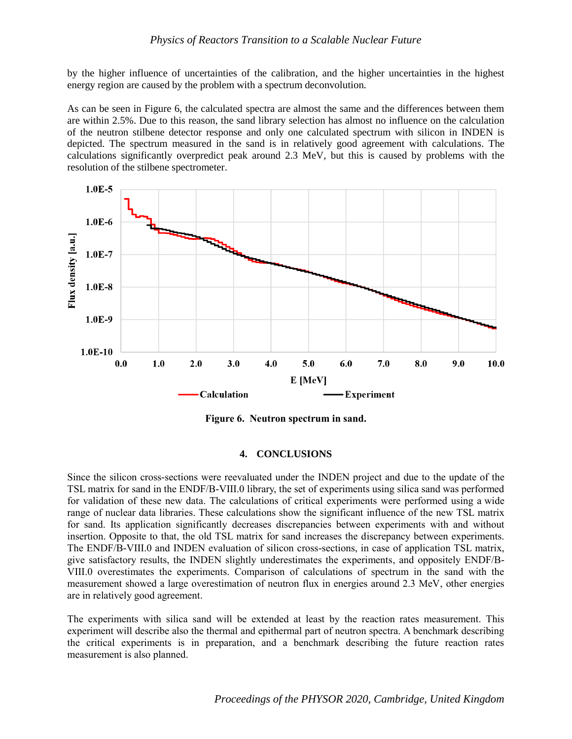by the higher influence of uncertainties of the calibration, and the higher uncertainties in the highest energy region are caused by the problem with a spectrum deconvolution.

As can be seen in [Figure 6,](#page-6-0) the calculated spectra are almost the same and the differences between them are within 2.5%. Due to this reason, the sand library selection has almost no influence on the calculation of the neutron stilbene detector response and only one calculated spectrum with silicon in INDEN is depicted. The spectrum measured in the sand is in relatively good agreement with calculations. The calculations significantly overpredict peak around 2.3 MeV, but this is caused by problems with the resolution of the stilbene spectrometer.



**Figure 6. Neutron spectrum in sand.**

#### **4. CONCLUSIONS**

<span id="page-6-0"></span>Since the silicon cross-sections were reevaluated under the INDEN project and due to the update of the TSL matrix for sand in the ENDF/B-VIII.0 library, the set of experiments using silica sand was performed for validation of these new data. The calculations of critical experiments were performed using a wide range of nuclear data libraries. These calculations show the significant influence of the new TSL matrix for sand. Its application significantly decreases discrepancies between experiments with and without insertion. Opposite to that, the old TSL matrix for sand increases the discrepancy between experiments. The ENDF/B-VIII.0 and INDEN evaluation of silicon cross-sections, in case of application TSL matrix, give satisfactory results, the INDEN slightly underestimates the experiments, and oppositely ENDF/B-VIII.0 overestimates the experiments. Comparison of calculations of spectrum in the sand with the measurement showed a large overestimation of neutron flux in energies around 2.3 MeV, other energies are in relatively good agreement.

The experiments with silica sand will be extended at least by the reaction rates measurement. This experiment will describe also the thermal and epithermal part of neutron spectra. A benchmark describing the critical experiments is in preparation, and a benchmark describing the future reaction rates measurement is also planned.